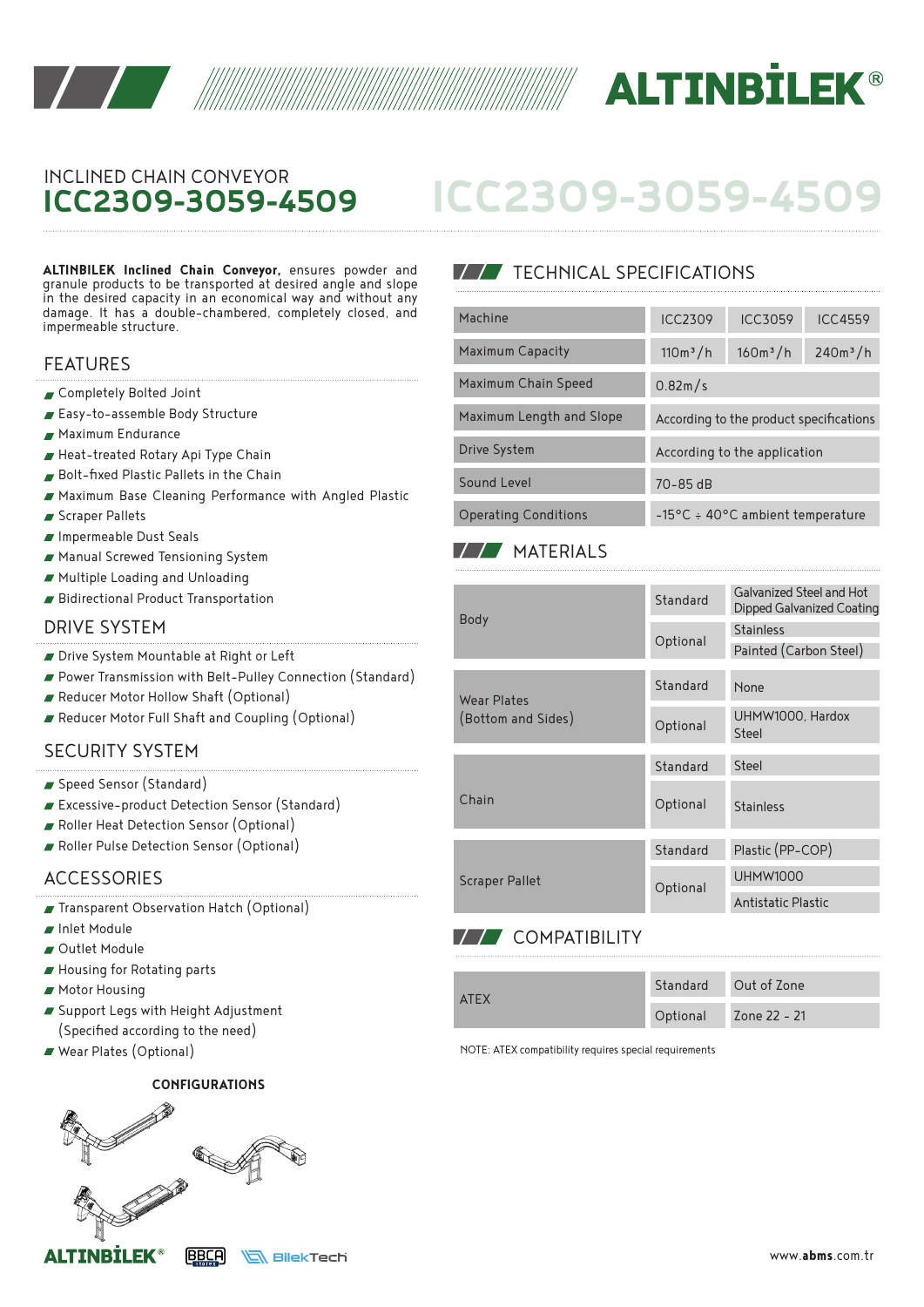



## INCLINED CHAIN CONVEYOR **ICC2309-3059-4509**

**ALTINBILEK Inclined Chain Conveyor,** ensures powder and granule products to be transported at desired angle and slope in the desired capacity in an economical way and without any damage. It has a double-chambered, completely closed, and impermeable structure.

#### FEATURES

- Completely Bolted Joint
- Easy-to-assemble Body Structure
- Maximum Endurance
- Heat-treated Rotary Api Type Chain
- Bolt-fixed Plastic Pallets in the Chain
- Maximum Base Cleaning Performance with Angled Plastic
- Scraper Pallets
- Impermeable Dust Seals
- Manual Screwed Tensioning System
- Multiple Loading and Unloading
- Bidirectional Product Transportation

#### DRIVE SYSTEM

- Drive System Mountable at Right or Left
- Power Transmission with Belt-Pulley Connection (Standard)
- Reducer Motor Hollow Shaft (Optional)
- Reducer Motor Full Shaft and Coupling (Optional)

### SECURITY SYSTEM

- Speed Sensor (Standard)
- Excessive-product Detection Sensor (Standard)
- Roller Heat Detection Sensor (Optional)
- Roller Pulse Detection Sensor (Optional)

#### ACCESSORIES

- Transparent Observation Hatch (Optional)
- Inlet Module
- Outlet Module
- Housing for Rotating parts
- **Motor Housing**
- Support Legs with Height Adjustment (Specified according to the need)
- Wear Plates (Optional)

#### **CONFIGURATIONS**



## **TECHNICAL SPECIFICATIONS**

| Machine                     | <b>ICC2309</b>                             | <b>ICC3059</b> | <b>ICC4559</b> |  |
|-----------------------------|--------------------------------------------|----------------|----------------|--|
| <b>Maximum Capacity</b>     | $110m^3/h$                                 | $160m^3/h$     | $240m^3/h$     |  |
| Maximum Chain Speed         | 0.82m/s                                    |                |                |  |
| Maximum Length and Slope    | According to the product specifications    |                |                |  |
| Drive System                | According to the application               |                |                |  |
| Sound Level                 | $70 - 85$ dB                               |                |                |  |
| <b>Operating Conditions</b> | $-15^{\circ}$ C ÷ 40°C ambient temperature |                |                |  |

**ICC2309-3059-4509**

## **MATERIALS**

| <b>Body</b>                              | Standard | Galvanized Steel and Hot<br>Dipped Galvanized Coating |  |
|------------------------------------------|----------|-------------------------------------------------------|--|
|                                          | Optional | <b>Stainless</b>                                      |  |
|                                          |          | Painted (Carbon Steel)                                |  |
| <b>Wear Plates</b><br>(Bottom and Sides) | Standard | None                                                  |  |
|                                          | Optional | UHMW1000, Hardox<br>Steel                             |  |
|                                          | Standard | Steel                                                 |  |
| Chain                                    | Optional | <b>Stainless</b>                                      |  |
|                                          | Standard | Plastic (PP-COP)                                      |  |
| <b>Scraper Pallet</b>                    | Optional | <b>UHMW1000</b>                                       |  |
|                                          |          | Antistatic Plastic                                    |  |

## **77 COMPATIBILITY**

| <b>ATEX</b> | Standard | Out of Zone  |
|-------------|----------|--------------|
|             | Optional | Zone 22 - 21 |

NOTE: ATEX compatibility requires special requirements